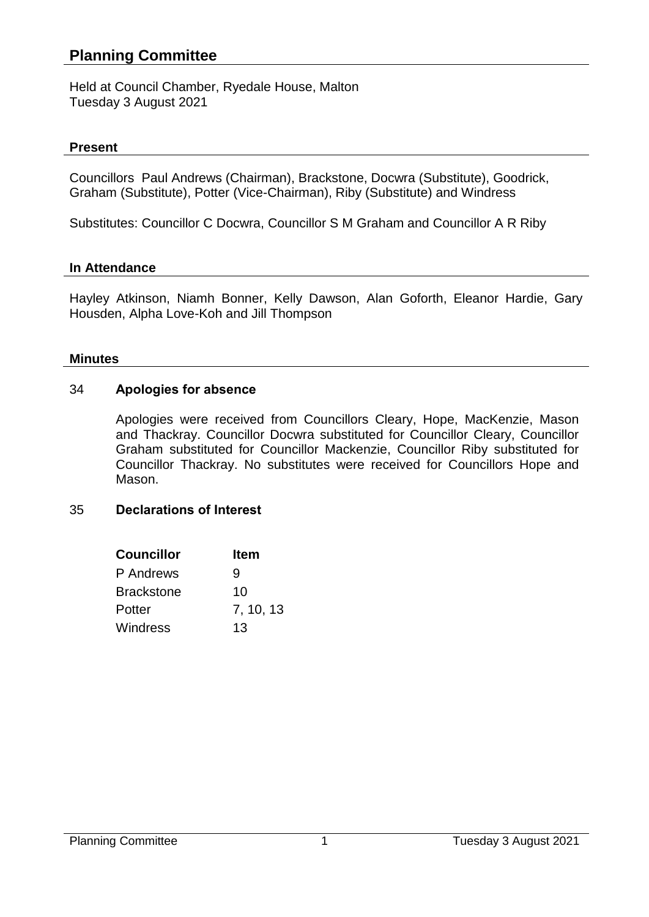# **Planning Committee**

Held at Council Chamber, Ryedale House, Malton Tuesday 3 August 2021

### **Present**

Councillors Paul Andrews (Chairman), Brackstone, Docwra (Substitute), Goodrick, Graham (Substitute), Potter (Vice-Chairman), Riby (Substitute) and Windress

Substitutes: Councillor C Docwra, Councillor S M Graham and Councillor A R Riby

### **In Attendance**

Hayley Atkinson, Niamh Bonner, Kelly Dawson, Alan Goforth, Eleanor Hardie, Gary Housden, Alpha Love-Koh and Jill Thompson

### **Minutes**

### 34 **Apologies for absence**

Apologies were received from Councillors Cleary, Hope, MacKenzie, Mason and Thackray. Councillor Docwra substituted for Councillor Cleary, Councillor Graham substituted for Councillor Mackenzie, Councillor Riby substituted for Councillor Thackray. No substitutes were received for Councillors Hope and Mason.

### 35 **Declarations of Interest**

| <b>Councillor</b> | Item      |
|-------------------|-----------|
| P Andrews         | 9         |
| <b>Brackstone</b> | 10        |
| Potter            | 7, 10, 13 |
| Windress          | 13        |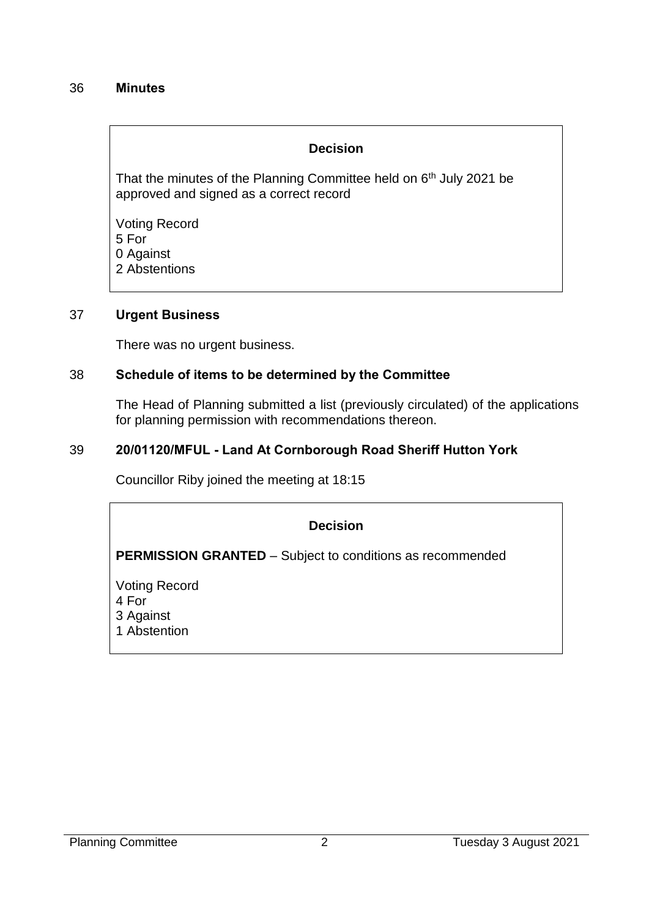### 36 **Minutes**

### **Decision**

That the minutes of the Planning Committee held on 6<sup>th</sup> July 2021 be approved and signed as a correct record

Voting Record 5 For 0 Against 2 Abstentions

#### 37 **Urgent Business**

There was no urgent business.

### 38 **Schedule of items to be determined by the Committee**

The Head of Planning submitted a list (previously circulated) of the applications for planning permission with recommendations thereon.

### 39 **20/01120/MFUL - Land At Cornborough Road Sheriff Hutton York**

Councillor Riby joined the meeting at 18:15

# **Decision**

**PERMISSION GRANTED** – Subject to conditions as recommended

Voting Record 4 For 3 Against 1 Abstention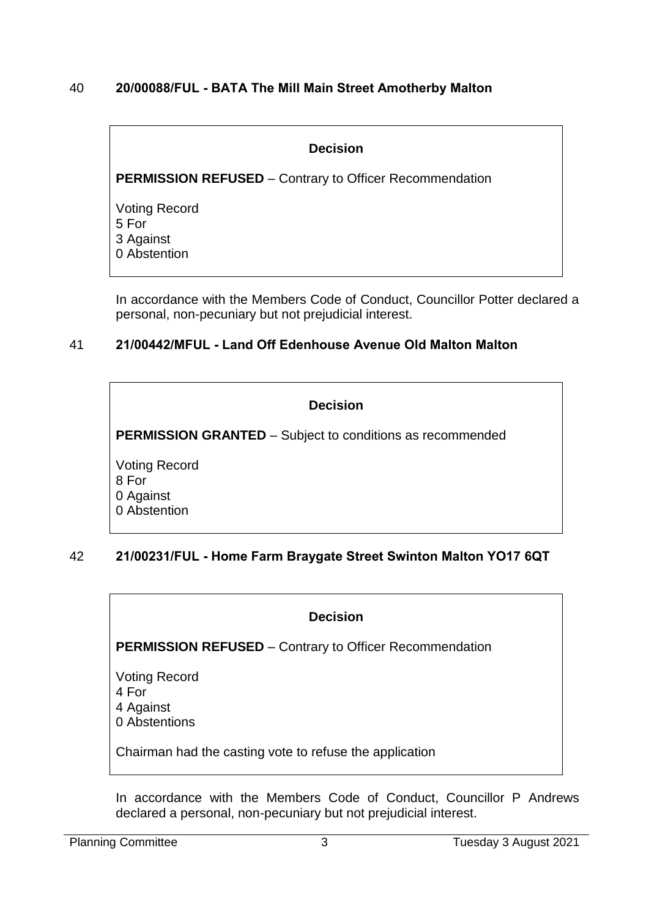# 40 **20/00088/FUL - BATA The Mill Main Street Amotherby Malton**

### **Decision**

**PERMISSION REFUSED** – Contrary to Officer Recommendation

Voting Record 5 For 3 Against 0 Abstention

In accordance with the Members Code of Conduct, Councillor Potter declared a personal, non-pecuniary but not prejudicial interest.

# 41 **21/00442/MFUL - Land Off Edenhouse Avenue Old Malton Malton**

| <b>Decision</b>                                                  |
|------------------------------------------------------------------|
| <b>PERMISSION GRANTED</b> – Subject to conditions as recommended |
| <b>Voting Record</b><br>8 For<br>0 Against<br>0 Abstention       |

# 42 **21/00231/FUL - Home Farm Braygate Street Swinton Malton YO17 6QT**

### **Decision**

**PERMISSION REFUSED** – Contrary to Officer Recommendation

- Voting Record 4 For 4 Against
- 0 Abstentions

Chairman had the casting vote to refuse the application

In accordance with the Members Code of Conduct, Councillor P Andrews declared a personal, non-pecuniary but not prejudicial interest.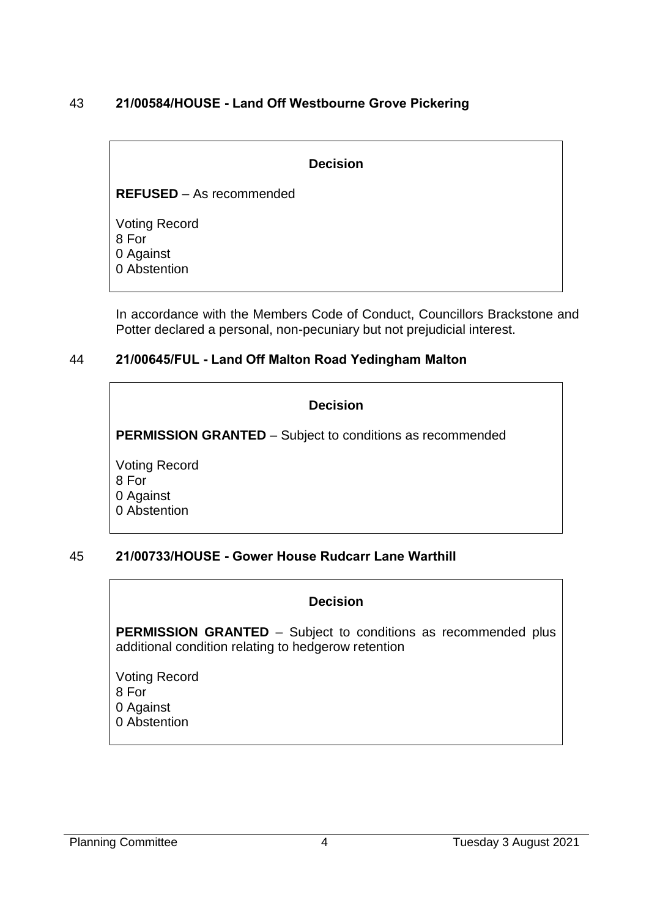# 43 **21/00584/HOUSE - Land Off Westbourne Grove Pickering**

#### **Decision**

**REFUSED** – As recommended

Voting Record 8 For 0 Against 0 Abstention

In accordance with the Members Code of Conduct, Councillors Brackstone and Potter declared a personal, non-pecuniary but not prejudicial interest.

### 44 **21/00645/FUL - Land Off Malton Road Yedingham Malton**

| <b>Decision</b>                                                  |  |
|------------------------------------------------------------------|--|
| <b>PERMISSION GRANTED</b> – Subject to conditions as recommended |  |
| <b>Voting Record</b><br>8 For<br>0 Against<br>0 Abstention       |  |

### 45 **21/00733/HOUSE - Gower House Rudcarr Lane Warthill**

### **Decision**

**PERMISSION GRANTED** – Subject to conditions as recommended plus additional condition relating to hedgerow retention

Voting Record 8 For 0 Against 0 Abstention